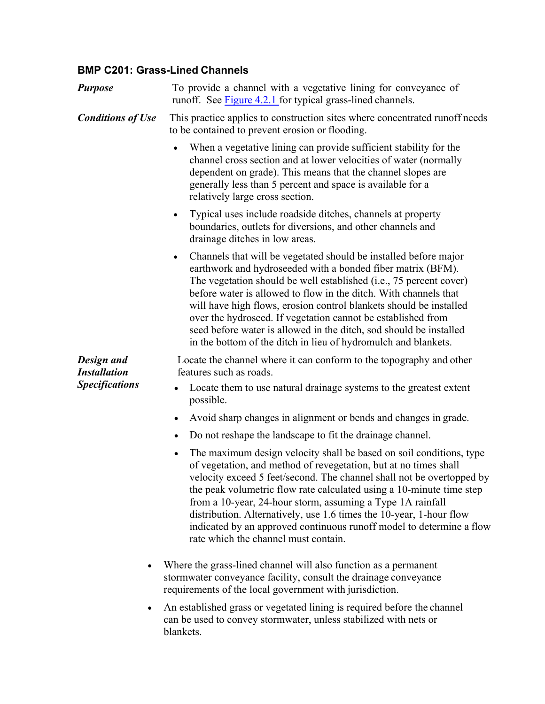## **BMP C201: Grass-Lined Channels**

| <b>Purpose</b>                                                          | To provide a channel with a vegetative lining for conveyance of<br>runoff. See Figure 4.2.1 for typical grass-lined channels.                                                                                                                                                                                                                                                                                                                                                                                                                                                 |
|-------------------------------------------------------------------------|-------------------------------------------------------------------------------------------------------------------------------------------------------------------------------------------------------------------------------------------------------------------------------------------------------------------------------------------------------------------------------------------------------------------------------------------------------------------------------------------------------------------------------------------------------------------------------|
| <b>Conditions of Use</b>                                                | This practice applies to construction sites where concentrated runoff needs<br>to be contained to prevent erosion or flooding.                                                                                                                                                                                                                                                                                                                                                                                                                                                |
|                                                                         | When a vegetative lining can provide sufficient stability for the<br>channel cross section and at lower velocities of water (normally<br>dependent on grade). This means that the channel slopes are<br>generally less than 5 percent and space is available for a<br>relatively large cross section.                                                                                                                                                                                                                                                                         |
|                                                                         | Typical uses include roadside ditches, channels at property<br>$\bullet$<br>boundaries, outlets for diversions, and other channels and<br>drainage ditches in low areas.                                                                                                                                                                                                                                                                                                                                                                                                      |
|                                                                         | Channels that will be vegetated should be installed before major<br>$\bullet$<br>earthwork and hydroseeded with a bonded fiber matrix (BFM).<br>The vegetation should be well established ( <i>i.e.</i> , 75 percent cover)<br>before water is allowed to flow in the ditch. With channels that<br>will have high flows, erosion control blankets should be installed<br>over the hydroseed. If vegetation cannot be established from<br>seed before water is allowed in the ditch, sod should be installed<br>in the bottom of the ditch in lieu of hydromulch and blankets. |
| Design and<br><b>Installation</b><br><b>Specifications</b><br>$\bullet$ | Locate the channel where it can conform to the topography and other<br>features such as roads.                                                                                                                                                                                                                                                                                                                                                                                                                                                                                |
|                                                                         | Locate them to use natural drainage systems to the greatest extent<br>possible.                                                                                                                                                                                                                                                                                                                                                                                                                                                                                               |
|                                                                         | Avoid sharp changes in alignment or bends and changes in grade.                                                                                                                                                                                                                                                                                                                                                                                                                                                                                                               |
|                                                                         | Do not reshape the landscape to fit the drainage channel.                                                                                                                                                                                                                                                                                                                                                                                                                                                                                                                     |
|                                                                         | The maximum design velocity shall be based on soil conditions, type<br>$\bullet$<br>of vegetation, and method of revegetation, but at no times shall<br>velocity exceed 5 feet/second. The channel shall not be overtopped by<br>the peak volumetric flow rate calculated using a 10-minute time step<br>from a 10-year, 24-hour storm, assuming a Type 1A rainfall<br>distribution. Alternatively, use 1.6 times the 10-year, 1-hour flow<br>indicated by an approved continuous runoff model to determine a flow<br>rate which the channel must contain.                    |
|                                                                         | Where the grass-lined channel will also function as a permanent<br>stormwater conveyance facility, consult the drainage conveyance<br>requirements of the local government with jurisdiction.                                                                                                                                                                                                                                                                                                                                                                                 |
|                                                                         | An established grass or vegetated lining is required before the channel<br>can be used to convey stormwater, unless stabilized with nets or<br>blankets.                                                                                                                                                                                                                                                                                                                                                                                                                      |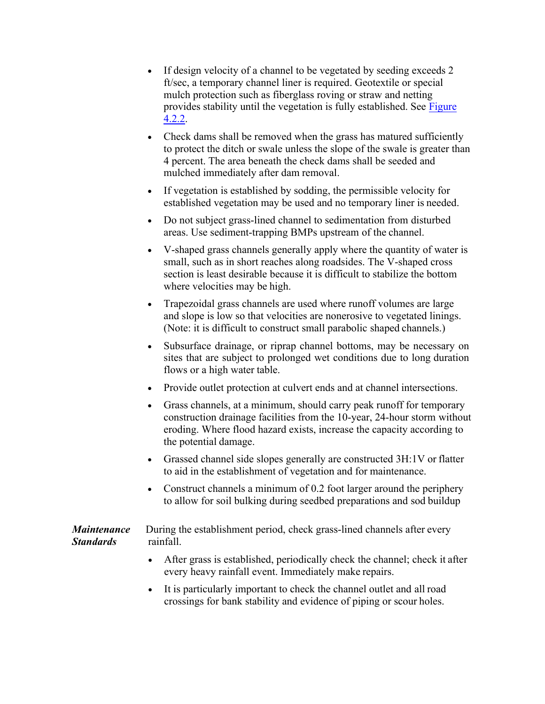- If design velocity of a channel to be vegetated by seeding exceeds 2 ft/sec, a temporary channel liner is required. Geotextile or special mulch protection such as fiberglass roving or straw and netting provides stability until the vegetation is fully established. See [Figure](#page-3-0)  [4.2.2](#page-3-0).
- Check dams shall be removed when the grass has matured sufficiently to protect the ditch or swale unless the slope of the swale is greater than 4 percent. The area beneath the check dams shall be seeded and mulched immediately after dam removal.
- If vegetation is established by sodding, the permissible velocity for established vegetation may be used and no temporary liner is needed.
- Do not subject grass-lined channel to sedimentation from disturbed areas. Use sediment-trapping BMPs upstream of the channel.
- V-shaped grass channels generally apply where the quantity of water is small, such as in short reaches along roadsides. The V-shaped cross section is least desirable because it is difficult to stabilize the bottom where velocities may be high.
- Trapezoidal grass channels are used where runoff volumes are large and slope is low so that velocities are nonerosive to vegetated linings. (Note: it is difficult to construct small parabolic shaped channels.)
- Subsurface drainage, or riprap channel bottoms, may be necessary on sites that are subject to prolonged wet conditions due to long duration flows or a high water table.
- Provide outlet protection at culvert ends and at channel intersections.
- Grass channels, at a minimum, should carry peak runoff for temporary construction drainage facilities from the 10-year, 24-hour storm without eroding. Where flood hazard exists, increase the capacity according to the potential damage.
- Grassed channel side slopes generally are constructed 3H:1V or flatter to aid in the establishment of vegetation and for maintenance.
- Construct channels a minimum of 0.2 foot larger around the periphery to allow for soil bulking during seedbed preparations and sod buildup

*Maintenance Standards* During the establishment period, check grass-lined channels after every rainfall.

- After grass is established, periodically check the channel; check it after every heavy rainfall event. Immediately make repairs.
- It is particularly important to check the channel outlet and all road crossings for bank stability and evidence of piping or scour holes.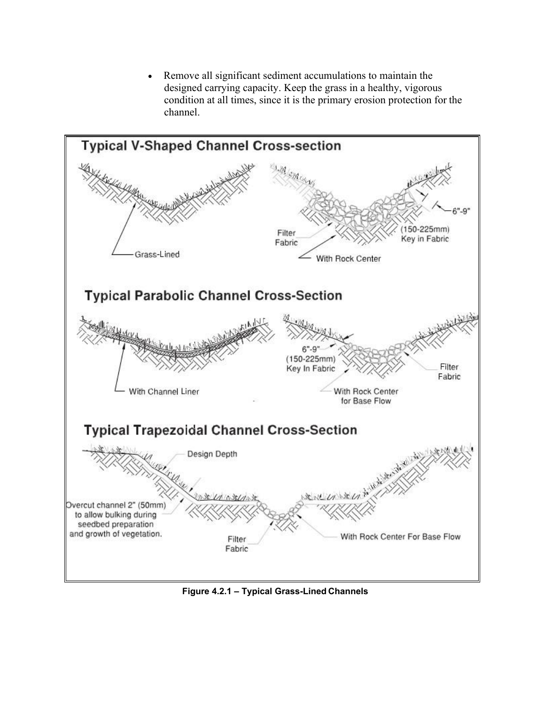Remove all significant sediment accumulations to maintain the designed carrying capacity. Keep the grass in a healthy, vigorous condition at all times, since it is the primary erosion protection for the channel.



**Figure 4.2.1 – Typical Grass-Lined Channels**